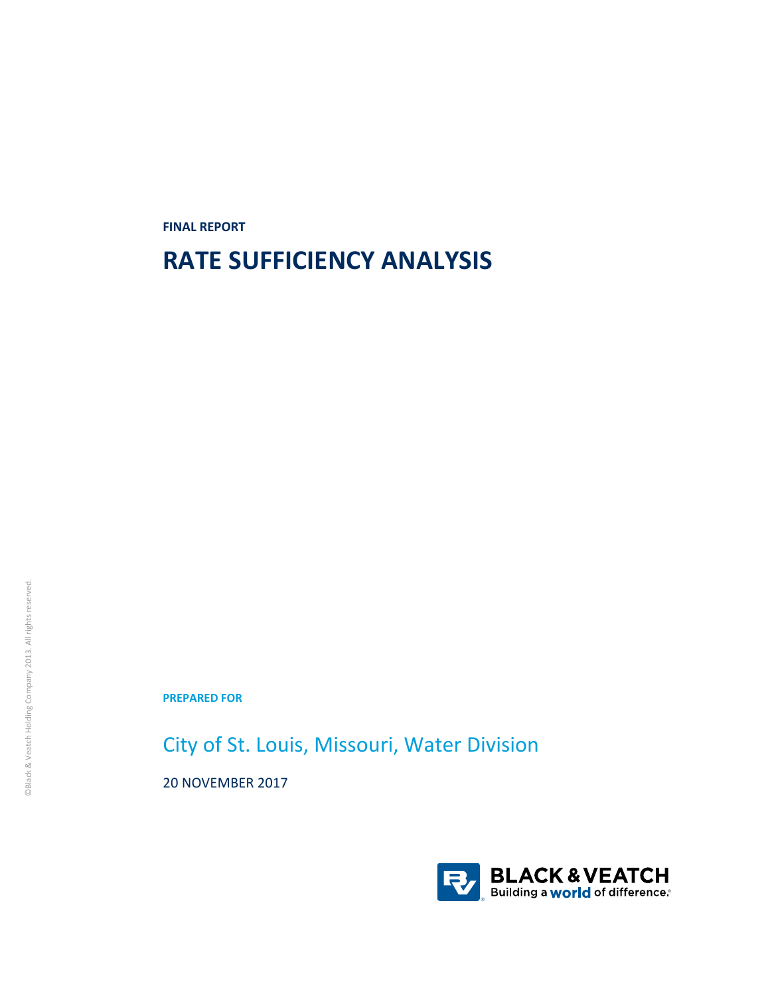**FINAL REPORT**

# **RATE SUFFICIENCY ANALYSIS**

**PREPARED FOR**

City of St. Louis, Missouri, Water Division

20 NOVEMBER 2017

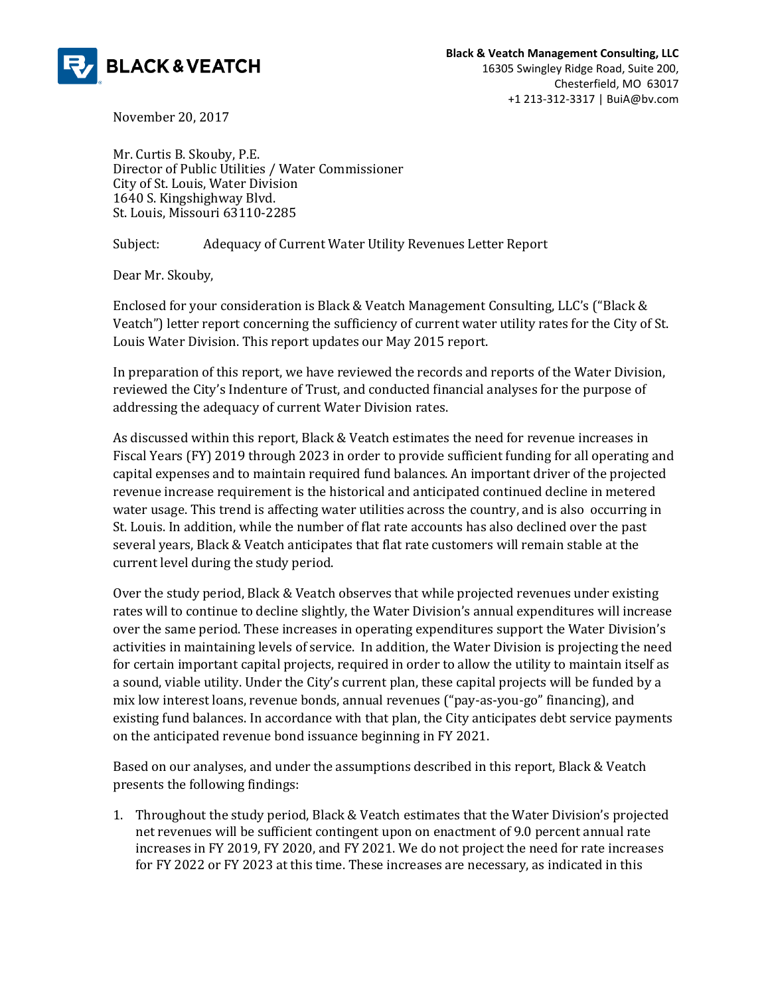

November 20, 2017

Mr. Curtis B. Skouby, P.E. Director of Public Utilities / Water Commissioner City of St. Louis, Water Division 1640 S. Kingshighway Blvd. St. Louis, Missouri 63110-2285

Subject: Adequacy of Current Water Utility Revenues Letter Report

Dear Mr. Skouby,

Enclosed for your consideration is Black & Veatch Management Consulting, LLC's ("Black & Veatch") letter report concerning the sufficiency of current water utility rates for the City of St. Louis Water Division. This report updates our May 2015 report.

In preparation of this report, we have reviewed the records and reports of the Water Division, reviewed the City's Indenture of Trust, and conducted financial analyses for the purpose of addressing the adequacy of current Water Division rates.

As discussed within this report, Black & Veatch estimates the need for revenue increases in Fiscal Years (FY) 2019 through 2023 in order to provide sufficient funding for all operating and capital expenses and to maintain required fund balances. An important driver of the projected revenue increase requirement is the historical and anticipated continued decline in metered water usage. This trend is affecting water utilities across the country, and is also occurring in St. Louis. In addition, while the number of flat rate accounts has also declined over the past several years, Black & Veatch anticipates that flat rate customers will remain stable at the current level during the study period.

Over the study period, Black & Veatch observes that while projected revenues under existing rates will to continue to decline slightly, the Water Division's annual expenditures will increase over the same period. These increases in operating expenditures support the Water Division's activities in maintaining levels of service. In addition, the Water Division is projecting the need for certain important capital projects, required in order to allow the utility to maintain itself as a sound, viable utility. Under the City's current plan, these capital projects will be funded by a mix low interest loans, revenue bonds, annual revenues ("pay-as-you-go" financing), and existing fund balances. In accordance with that plan, the City anticipates debt service payments on the anticipated revenue bond issuance beginning in FY 2021.

Based on our analyses, and under the assumptions described in this report, Black & Veatch presents the following findings:

1. Throughout the study period, Black & Veatch estimates that the Water Division's projected net revenues will be sufficient contingent upon on enactment of 9.0 percent annual rate increases in FY 2019, FY 2020, and FY 2021. We do not project the need for rate increases for FY 2022 or FY 2023 at this time. These increases are necessary, as indicated in this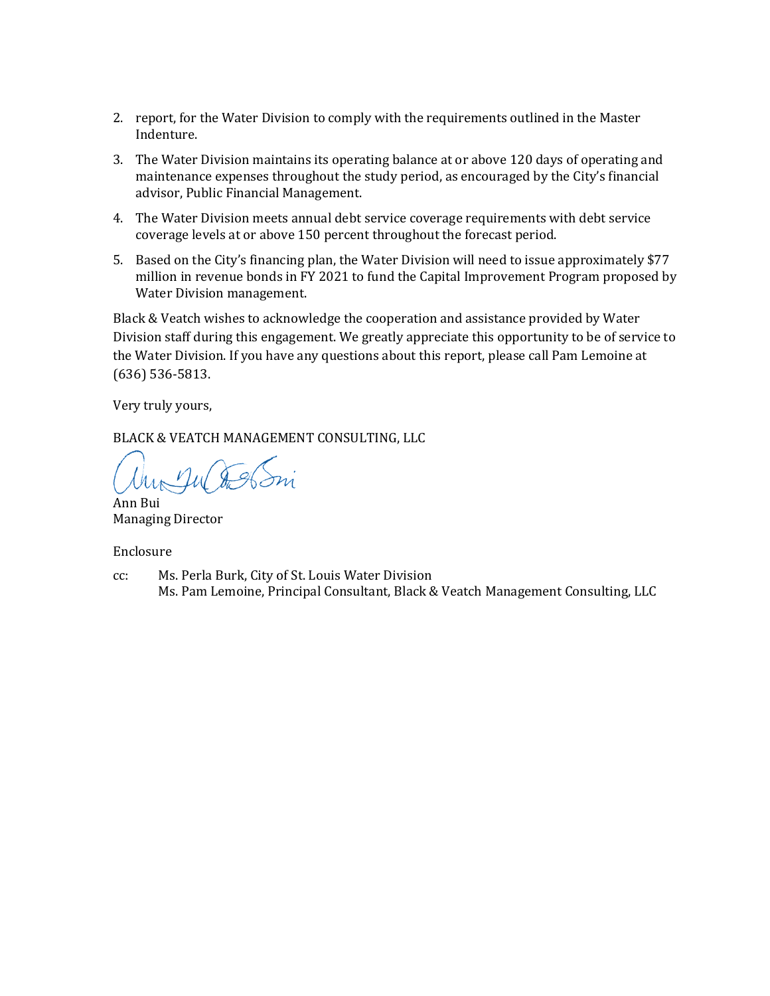- 2. report, for the Water Division to comply with the requirements outlined in the Master Indenture.
- 3. The Water Division maintains its operating balance at or above 120 days of operating and maintenance expenses throughout the study period, as encouraged by the City's financial advisor, Public Financial Management.
- 4. The Water Division meets annual debt service coverage requirements with debt service coverage levels at or above 150 percent throughout the forecast period.
- 5. Based on the City's financing plan, the Water Division will need to issue approximately \$77 million in revenue bonds in FY 2021 to fund the Capital Improvement Program proposed by Water Division management.

Black & Veatch wishes to acknowledge the cooperation and assistance provided by Water Division staff during this engagement. We greatly appreciate this opportunity to be of service to the Water Division. If you have any questions about this report, please call Pam Lemoine at (636) 536-5813.

Very truly yours,

BLACK & VEATCH MANAGEMENT CONSULTING, LLC

nul fel

Ann Bui Managing Director

Enclosure

cc: Ms. Perla Burk, City of St. Louis Water Division Ms. Pam Lemoine, Principal Consultant, Black & Veatch Management Consulting, LLC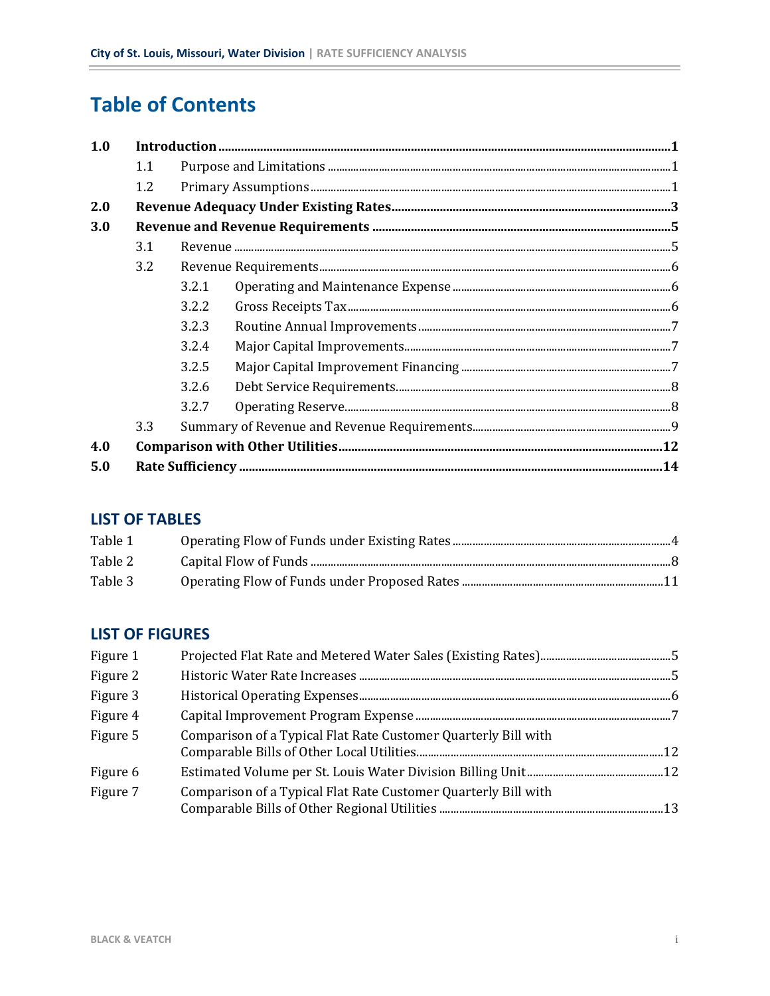# **Table of Contents**

| 1.0 |     |       |
|-----|-----|-------|
|     | 1.1 |       |
|     | 1.2 |       |
| 2.0 |     |       |
| 3.0 |     |       |
|     | 3.1 |       |
|     | 3.2 |       |
|     |     | 3.2.1 |
|     |     | 3.2.2 |
|     |     | 3.2.3 |
|     |     | 3.2.4 |
|     |     | 3.2.5 |
|     |     | 3.2.6 |
|     |     | 3.2.7 |
|     | 3.3 |       |
| 4.0 |     |       |
| 5.0 |     |       |

### **LIST OF TABLES**

| Table 1 |  |
|---------|--|
| Table 2 |  |
| Table 3 |  |

### **LIST OF FIGURES**

| Figure 1 |                                                                |  |
|----------|----------------------------------------------------------------|--|
| Figure 2 |                                                                |  |
| Figure 3 |                                                                |  |
| Figure 4 |                                                                |  |
| Figure 5 | Comparison of a Typical Flat Rate Customer Quarterly Bill with |  |
| Figure 6 |                                                                |  |
| Figure 7 | Comparison of a Typical Flat Rate Customer Quarterly Bill with |  |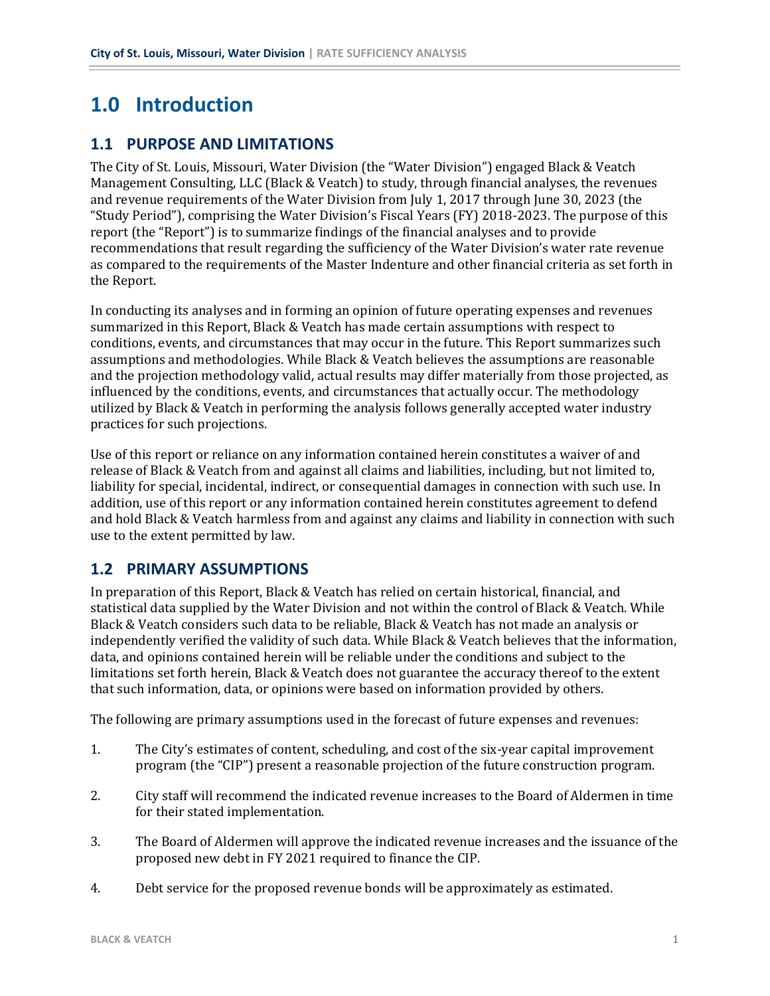# **1.0 Introduction**

### **1.1 PURPOSE AND LIMITATIONS**

The City of St. Louis, Missouri, Water Division (the "Water Division") engaged Black & Veatch Management Consulting, LLC (Black & Veatch) to study, through financial analyses, the revenues and revenue requirements of the Water Division from July 1, 2017 through June 30, 2023 (the "Study Period"), comprising the Water Division's Fiscal Years (FY) 2018-2023. The purpose of this report (the "Report") is to summarize findings of the financial analyses and to provide recommendations that result regarding the sufficiency of the Water Division's water rate revenue as compared to the requirements of the Master Indenture and other financial criteria as set forth in the Report.

In conducting its analyses and in forming an opinion of future operating expenses and revenues summarized in this Report, Black & Veatch has made certain assumptions with respect to conditions, events, and circumstances that may occur in the future. This Report summarizes such assumptions and methodologies. While Black & Veatch believes the assumptions are reasonable and the projection methodology valid, actual results may differ materially from those projected, as influenced by the conditions, events, and circumstances that actually occur. The methodology utilized by Black & Veatch in performing the analysis follows generally accepted water industry practices for such projections.

Use of this report or reliance on any information contained herein constitutes a waiver of and release of Black & Veatch from and against all claims and liabilities, including, but not limited to, liability for special, incidental, indirect, or consequential damages in connection with such use. In addition, use of this report or any information contained herein constitutes agreement to defend and hold Black & Veatch harmless from and against any claims and liability in connection with such use to the extent permitted by law.

#### **1.2 PRIMARY ASSUMPTIONS**

In preparation of this Report, Black & Veatch has relied on certain historical, financial, and statistical data supplied by the Water Division and not within the control of Black & Veatch. While Black & Veatch considers such data to be reliable, Black & Veatch has not made an analysis or independently verified the validity of such data. While Black & Veatch believes that the information, data, and opinions contained herein will be reliable under the conditions and subject to the limitations set forth herein, Black & Veatch does not guarantee the accuracy thereof to the extent that such information, data, or opinions were based on information provided by others.

The following are primary assumptions used in the forecast of future expenses and revenues:

- 1. The City's estimates of content, scheduling, and cost of the six-year capital improvement program (the "CIP") present a reasonable projection of the future construction program.
- 2. City staff will recommend the indicated revenue increases to the Board of Aldermen in time for their stated implementation.
- 3. The Board of Aldermen will approve the indicated revenue increases and the issuance of the proposed new debt in FY 2021 required to finance the CIP.
- 4. Debt service for the proposed revenue bonds will be approximately as estimated.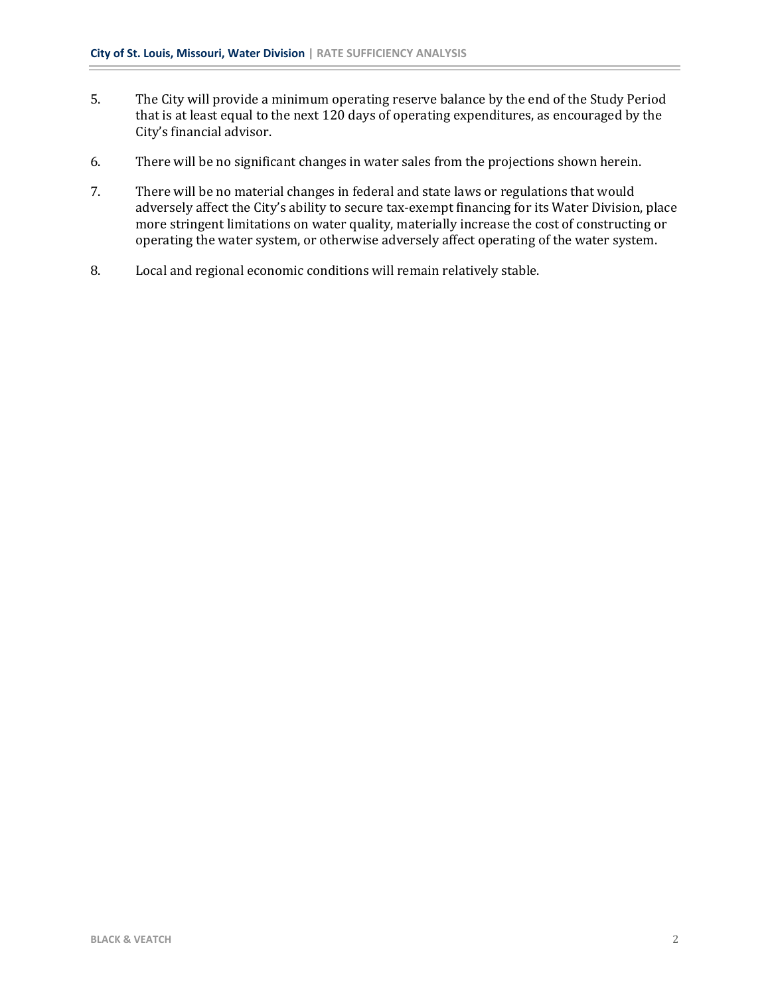- 5. The City will provide a minimum operating reserve balance by the end of the Study Period that is at least equal to the next 120 days of operating expenditures, as encouraged by the City's financial advisor.
- 6. There will be no significant changes in water sales from the projections shown herein.
- 7. There will be no material changes in federal and state laws or regulations that would adversely affect the City's ability to secure tax-exempt financing for its Water Division, place more stringent limitations on water quality, materially increase the cost of constructing or operating the water system, or otherwise adversely affect operating of the water system.
- 8. Local and regional economic conditions will remain relatively stable.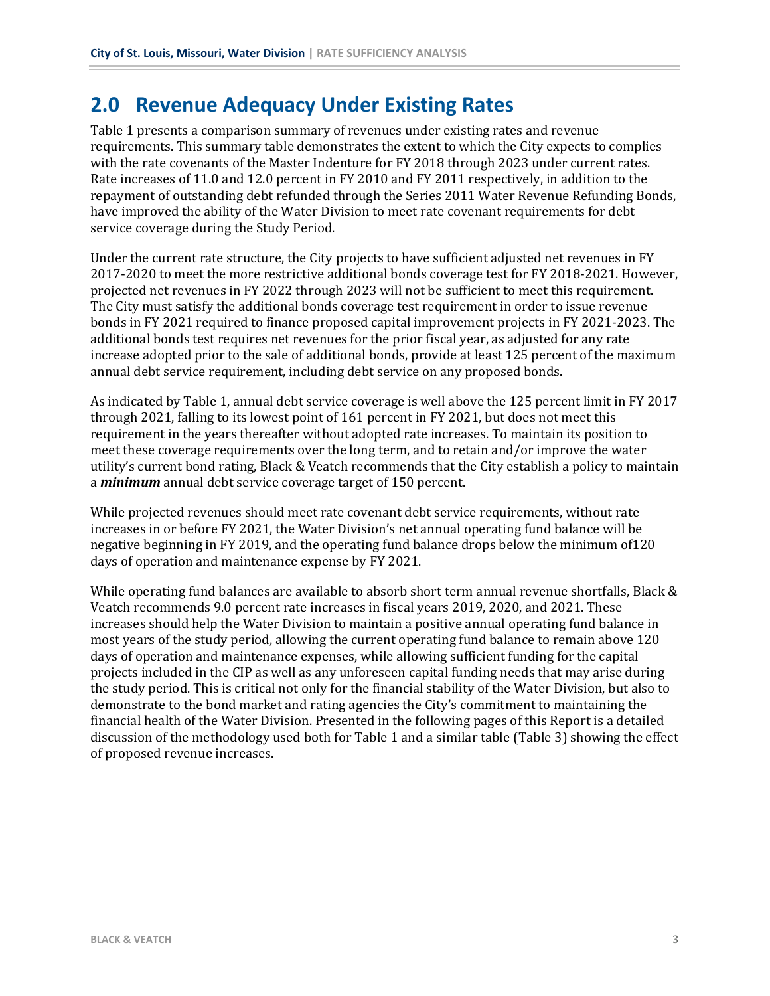## **2.0 Revenue Adequacy Under Existing Rates**

Table 1 presents a comparison summary of revenues under existing rates and revenue requirements. This summary table demonstrates the extent to which the City expects to complies with the rate covenants of the Master Indenture for FY 2018 through 2023 under current rates. Rate increases of 11.0 and 12.0 percent in FY 2010 and FY 2011 respectively, in addition to the repayment of outstanding debt refunded through the Series 2011 Water Revenue Refunding Bonds, have improved the ability of the Water Division to meet rate covenant requirements for debt service coverage during the Study Period.

Under the current rate structure, the City projects to have sufficient adjusted net revenues in FY 2017-2020 to meet the more restrictive additional bonds coverage test for FY 2018-2021. However, projected net revenues in FY 2022 through 2023 will not be sufficient to meet this requirement. The City must satisfy the additional bonds coverage test requirement in order to issue revenue bonds in FY 2021 required to finance proposed capital improvement projects in FY 2021-2023. The additional bonds test requires net revenues for the prior fiscal year, as adjusted for any rate increase adopted prior to the sale of additional bonds, provide at least 125 percent of the maximum annual debt service requirement, including debt service on any proposed bonds.

As indicated by Table 1, annual debt service coverage is well above the 125 percent limit in FY 2017 through 2021, falling to its lowest point of 161 percent in FY 2021, but does not meet this requirement in the years thereafter without adopted rate increases. To maintain its position to meet these coverage requirements over the long term, and to retain and/or improve the water utility's current bond rating, Black & Veatch recommends that the City establish a policy to maintain a *minimum* annual debt service coverage target of 150 percent.

While projected revenues should meet rate covenant debt service requirements, without rate increases in or before FY 2021, the Water Division's net annual operating fund balance will be negative beginning in FY 2019, and the operating fund balance drops below the minimum of120 days of operation and maintenance expense by FY 2021.

While operating fund balances are available to absorb short term annual revenue shortfalls, Black & Veatch recommends 9.0 percent rate increases in fiscal years 2019, 2020, and 2021. These increases should help the Water Division to maintain a positive annual operating fund balance in most years of the study period, allowing the current operating fund balance to remain above 120 days of operation and maintenance expenses, while allowing sufficient funding for the capital projects included in the CIP as well as any unforeseen capital funding needs that may arise during the study period. This is critical not only for the financial stability of the Water Division, but also to demonstrate to the bond market and rating agencies the City's commitment to maintaining the financial health of the Water Division. Presented in the following pages of this Report is a detailed discussion of the methodology used both for Table 1 and a similar table (Table 3) showing the effect of proposed revenue increases.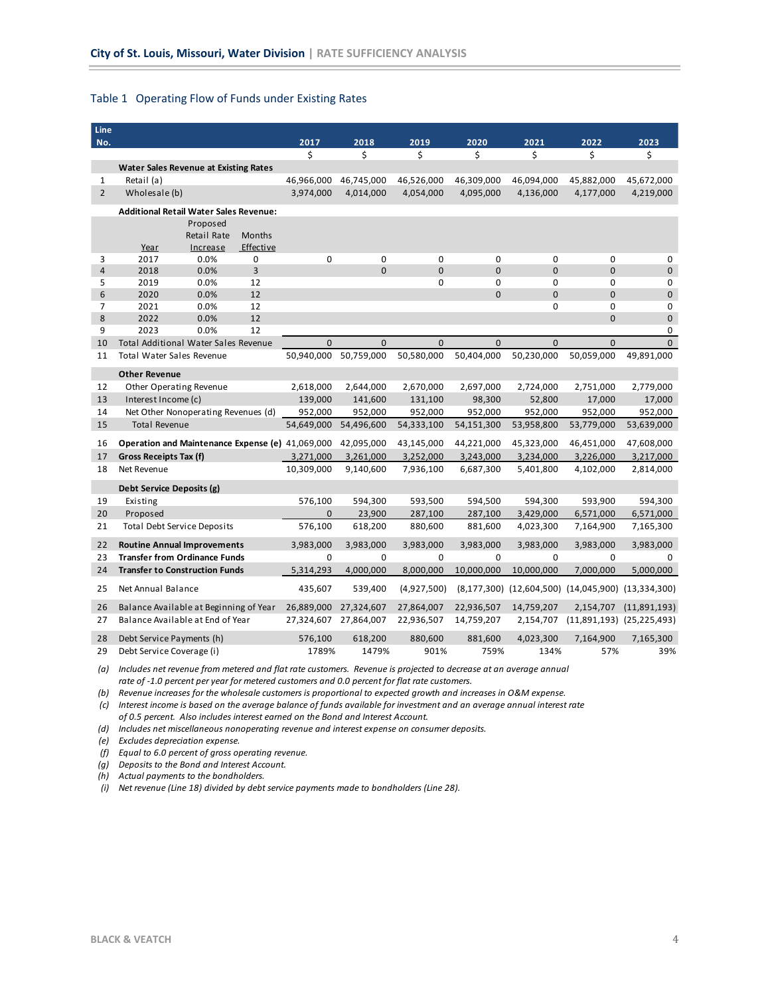#### <span id="page-7-0"></span>Table 1 Operating Flow of Funds under Existing Rates

| Line           |                                                  |              |               |             |             |                |              |                               |                                                    |                               |
|----------------|--------------------------------------------------|--------------|---------------|-------------|-------------|----------------|--------------|-------------------------------|----------------------------------------------------|-------------------------------|
| No.            |                                                  |              |               | 2017        | 2018        | 2019           | 2020         | 2021                          | 2022                                               | 2023                          |
|                |                                                  |              |               | \$          | \$          | \$             | \$           | \$                            | \$                                                 | \$                            |
|                | <b>Water Sales Revenue at Existing Rates</b>     |              |               |             |             |                |              |                               |                                                    |                               |
| 1              | Retail (a)                                       |              |               | 46,966,000  | 46,745,000  | 46,526,000     | 46,309,000   | 46,094,000                    | 45,882,000                                         | 45,672,000                    |
| $\overline{2}$ | Wholesale (b)                                    |              |               | 3,974,000   | 4,014,000   | 4,054,000      | 4,095,000    | 4,136,000                     | 4,177,000                                          | 4,219,000                     |
|                | <b>Additional Retail Water Sales Revenue:</b>    |              |               |             |             |                |              |                               |                                                    |                               |
|                |                                                  | Proposed     |               |             |             |                |              |                               |                                                    |                               |
|                |                                                  | Retail Rate  | <b>Months</b> |             |             |                |              |                               |                                                    |                               |
|                | Year                                             | Increase     | Effective     |             |             |                |              |                               |                                                    |                               |
| 3              | 2017                                             | 0.0%         | 0             | $\mathbf 0$ | 0           | $\mathbf 0$    | $\mathbf 0$  | 0                             | 0                                                  | 0                             |
| $\overline{4}$ | 2018                                             | 0.0%         | 3             |             | $\Omega$    | $\overline{0}$ | $\mathbf{0}$ | $\overline{0}$                | $\mathbf{0}$                                       | $\mathbf 0$                   |
| 5              | 2019                                             | 0.0%         | 12            |             |             | $\mathbf 0$    | $\mathbf 0$  | 0                             | $\mathbf 0$                                        | 0                             |
| 6<br>7         | 2020<br>2021                                     | 0.0%<br>0.0% | 12<br>12      |             |             |                | $\mathbf{0}$ | $\overline{0}$<br>$\mathbf 0$ | $\mathbf{0}$<br>0                                  | $\mathbf 0$<br>0              |
| 8              | 2022                                             | 0.0%         | 12            |             |             |                |              |                               | $\mathbf{0}$                                       | $\mathbf{0}$                  |
| 9              | 2023                                             | 0.0%         | 12            |             |             |                |              |                               |                                                    | 0                             |
| 10             | <b>Total Additional Water Sales Revenue</b>      |              |               | $\Omega$    | $\Omega$    | $\Omega$       | $\Omega$     | $\Omega$                      | $\Omega$                                           | $\overline{0}$                |
| 11             | Total Water Sales Revenue                        |              |               | 50,940,000  | 50,759,000  | 50,580,000     | 50,404,000   | 50,230,000                    | 50,059,000                                         | 49,891,000                    |
|                |                                                  |              |               |             |             |                |              |                               |                                                    |                               |
|                | <b>Other Revenue</b>                             |              |               |             |             |                |              |                               |                                                    |                               |
| 12             | Other Operating Revenue                          |              |               | 2,618,000   | 2,644,000   | 2,670,000      | 2,697,000    | 2,724,000                     | 2,751,000                                          | 2,779,000                     |
| 13             | Interest Income (c)                              |              |               | 139,000     | 141,600     | 131,100        | 98,300       | 52,800                        | 17,000                                             | 17,000                        |
| 14             | Net Other Nonoperating Revenues (d)              |              |               | 952,000     | 952,000     | 952,000        | 952,000      | 952,000                       | 952,000                                            | 952,000                       |
| 15             | <b>Total Revenue</b>                             |              |               | 54,649,000  | 54,496,600  | 54,333,100     | 54,151,300   | 53,958,800                    | 53,779,000                                         | 53,639,000                    |
| 16             | Operation and Maintenance Expense (e) 41,069,000 |              |               |             | 42,095,000  | 43,145,000     | 44,221,000   | 45,323,000                    | 46,451,000                                         | 47,608,000                    |
| 17             | Gross Receipts Tax (f)                           |              |               | 3,271,000   | 3,261,000   | 3,252,000      | 3,243,000    | 3,234,000                     | 3,226,000                                          | 3,217,000                     |
| 18             | Net Revenue                                      |              |               | 10,309,000  | 9,140,600   | 7,936,100      | 6,687,300    | 5,401,800                     | 4,102,000                                          | 2,814,000                     |
|                | Debt Service Deposits (g)                        |              |               |             |             |                |              |                               |                                                    |                               |
| 19             | Existing                                         |              |               | 576,100     | 594,300     | 593,500        | 594,500      | 594,300                       | 593,900                                            | 594,300                       |
| 20             | Proposed                                         |              |               | 0           | 23,900      | 287,100        | 287,100      | 3,429,000                     | 6,571,000                                          | 6,571,000                     |
| 21             | <b>Total Debt Service Deposits</b>               |              |               | 576,100     | 618,200     | 880,600        | 881,600      | 4,023,300                     | 7,164,900                                          | 7,165,300                     |
|                |                                                  |              |               |             |             |                |              |                               |                                                    |                               |
| 22             | <b>Routine Annual Improvements</b>               |              |               | 3,983,000   | 3,983,000   | 3,983,000      | 3,983,000    | 3,983,000                     | 3,983,000                                          | 3,983,000                     |
| 23             | <b>Transfer from Ordinance Funds</b>             |              |               | 0           | $\mathbf 0$ | $\mathbf 0$    | $\mathbf 0$  | $\mathbf 0$                   | $\mathbf 0$                                        | $\Omega$                      |
| 24             | <b>Transfer to Construction Funds</b>            |              |               | 5,314,293   | 4,000,000   | 8,000,000      | 10,000,000   | 10,000,000                    | 7,000,000                                          | 5,000,000                     |
| 25             | Net Annual Balance                               |              |               | 435,607     | 539,400     | (4,927,500)    |              |                               | (8,177,300) (12,604,500) (14,045,900) (13,334,300) |                               |
| 26             | Balance Available at Beginning of Year           |              |               | 26,889,000  | 27,324,607  | 27,864,007     | 22,936,507   | 14,759,207                    | 2,154,707                                          | (11,891,193)                  |
| 27             | Balance Available at End of Year                 |              |               | 27,324,607  | 27,864,007  | 22,936,507     | 14,759,207   | 2,154,707                     |                                                    | $(11,891,193)$ $(25,225,493)$ |
| 28             | Debt Service Payments (h)                        |              |               | 576,100     | 618,200     | 880,600        | 881,600      | 4,023,300                     | 7,164,900                                          | 7,165,300                     |
| 29             | Debt Service Coverage (i)                        |              |               | 1789%       | 1479%       | 901%           | 759%         | 134%                          | 57%                                                | 39%                           |

(a) Includes net revenue from metered and flat rate customers. Revenue is projected to decrease at an average annual *rate of -1.0 percent per year for metered customers and 0.0 percent for flat rate customers.*

(b) Revenue increases for the wholesale customers is proportional to expected growth and increases in O&M expense.

(c) Interest income is based on the average balance of funds available for investment and an average annual interest rate *of 0.5 percent. Also includes interest earned on the Bond and Interest Account.*

*(d) Includes net miscellaneous nonoperating revenue and interest expense on consumer deposits.*

*(e) Excludes depreciation expense.*

*(f) Equal to 6.0 percent of gross operating revenue.*

*(g) Deposits to the Bond and Interest Account.*

*(h) Actual payments to the bondholders.*

*(i) Net revenue (Line 18) divided by debt service payments made to bondholders (Line 28).*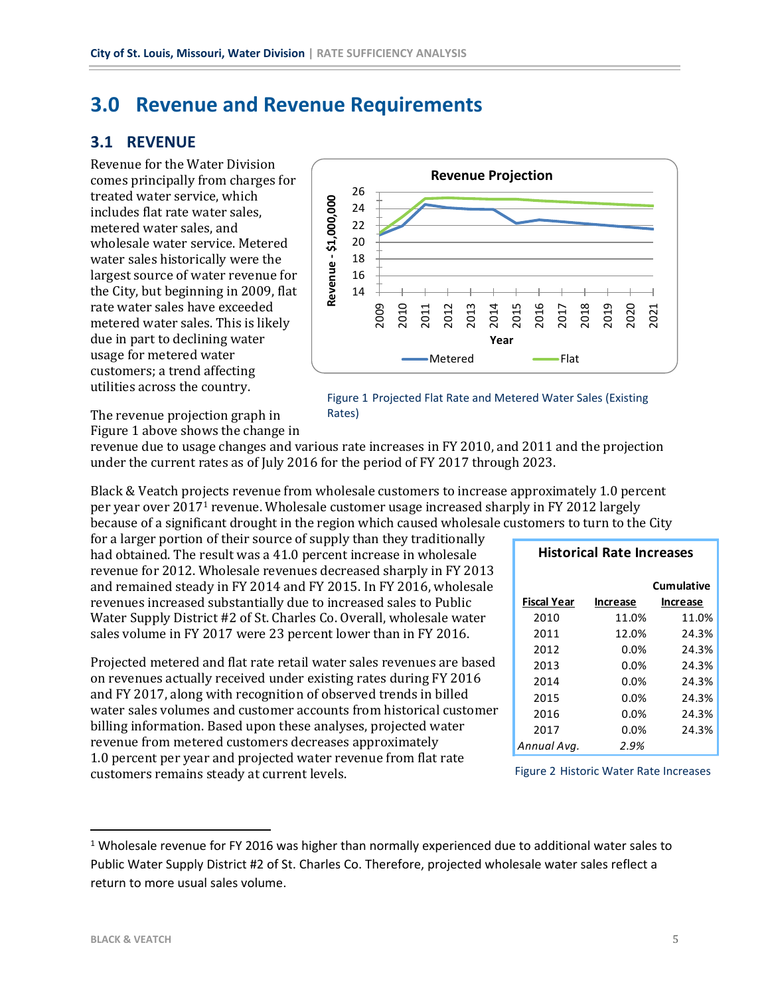## **3.0 Revenue and Revenue Requirements**

#### **3.1 REVENUE**

Revenue for the Water Division comes principally from charges for treated water service, which includes flat rate water sales, metered water sales, and wholesale water service. Metered water sales historically were the largest source of water revenue for the City, but beginning in 2009, flat rate water sales have exceeded metered water sales. This is likely due in part to declining water usage for metered water customers; a trend affecting utilities across the country.



Figure 1 Projected Flat Rate and Metered Water Sales (Existing Rates)

The revenue projection graph in Figure 1 above shows the change in

revenue due to usage changes and various rate increases in FY 2010, and 2011 and the projection under the current rates as of July 2016 for the period of FY 2017 through 2023.

Black & Veatch projects revenue from wholesale customers to increase approximately 1.0 percent per year over 2017<sup>1</sup> revenue. Wholesale customer usage increased sharply in FY 2012 largely because of a significant drought in the region which caused wholesale customers to turn to the City

for a larger portion of their source of supply than they traditionally had obtained. The result was a 41.0 percent increase in wholesale revenue for 2012. Wholesale revenues decreased sharply in FY 2013 and remained steady in FY 2014 and FY 2015. In FY 2016, wholesale revenues increased substantially due to increased sales to Public Water Supply District #2 of St. Charles Co. Overall, wholesale water sales volume in FY 2017 were 23 percent lower than in FY 2016.

Projected metered and flat rate retail water sales revenues are based on revenues actually received under existing rates during FY 2016 and FY 2017, along with recognition of observed trends in billed water sales volumes and customer accounts from historical customer billing information. Based upon these analyses, projected water revenue from metered customers decreases approximately 1.0 percent per year and projected water revenue from flat rate customers remains steady at current levels.

| <b>Historical Rate Increases</b> |                 |                   |  |  |  |  |  |  |  |
|----------------------------------|-----------------|-------------------|--|--|--|--|--|--|--|
|                                  |                 | <b>Cumulative</b> |  |  |  |  |  |  |  |
| <b>Fiscal Year</b>               | <b>Increase</b> | <b>Increase</b>   |  |  |  |  |  |  |  |
| 2010                             | 11.0%           | 11.0%             |  |  |  |  |  |  |  |
| 2011                             | 12.0%           | 24.3%             |  |  |  |  |  |  |  |
| 2012                             | 0.0%            | 24.3%             |  |  |  |  |  |  |  |
| 2013                             | 0.0%            | 24.3%             |  |  |  |  |  |  |  |
| 2014                             | 0.0%            | 24.3%             |  |  |  |  |  |  |  |
| 2015                             | 0.0%            | 24.3%             |  |  |  |  |  |  |  |
| 2016                             | 0.0%            | 24.3%             |  |  |  |  |  |  |  |
| 2017                             | 0.0%            | 24.3%             |  |  |  |  |  |  |  |
| Annual Avq.                      | 2.9%            |                   |  |  |  |  |  |  |  |

Figure 2 Historic Water Rate Increases

<sup>&</sup>lt;sup>1</sup> Wholesale revenue for FY 2016 was higher than normally experienced due to additional water sales to Public Water Supply District #2 of St. Charles Co. Therefore, projected wholesale water sales reflect a return to more usual sales volume.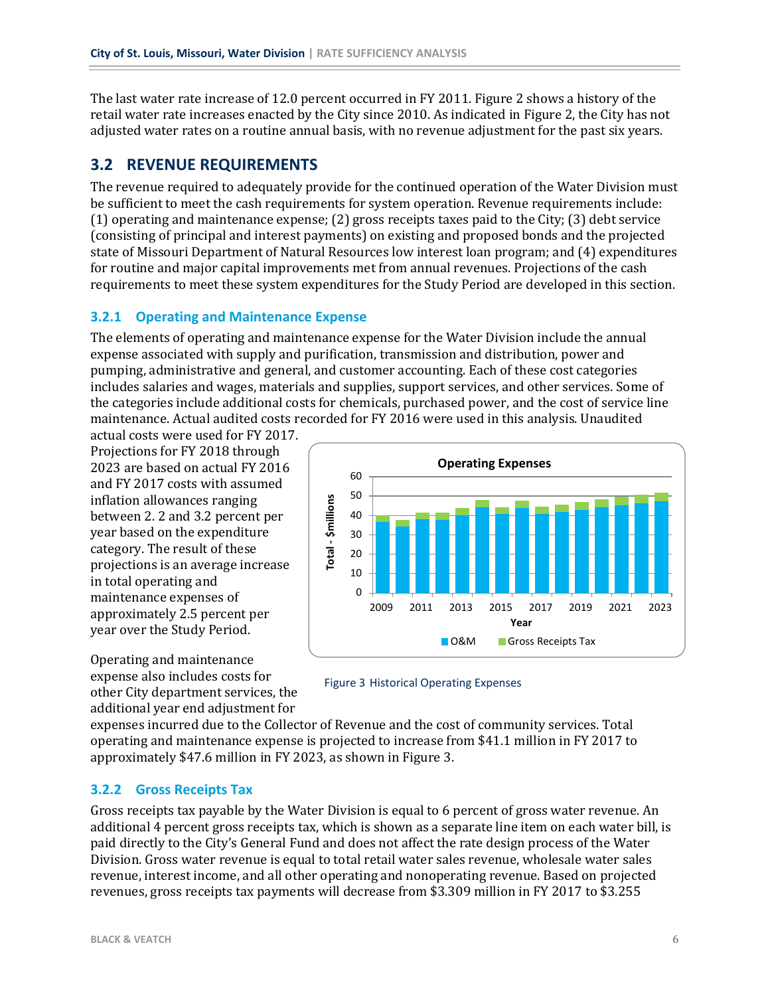The last water rate increase of 12.0 percent occurred in FY 2011. Figure 2 shows a history of the retail water rate increases enacted by the City since 2010. As indicated in Figure 2, the City has not adjusted water rates on a routine annual basis, with no revenue adjustment for the past six years.

### **3.2 REVENUE REQUIREMENTS**

The revenue required to adequately provide for the continued operation of the Water Division must be sufficient to meet the cash requirements for system operation. Revenue requirements include: (1) operating and maintenance expense; (2) gross receipts taxes paid to the City; (3) debt service (consisting of principal and interest payments) on existing and proposed bonds and the projected state of Missouri Department of Natural Resources low interest loan program; and (4) expenditures for routine and major capital improvements met from annual revenues. Projections of the cash requirements to meet these system expenditures for the Study Period are developed in this section.

#### **3.2.1 Operating and Maintenance Expense**

The elements of operating and maintenance expense for the Water Division include the annual expense associated with supply and purification, transmission and distribution, power and pumping, administrative and general, and customer accounting. Each of these cost categories includes salaries and wages, materials and supplies, support services, and other services. Some of the categories include additional costs for chemicals, purchased power, and the cost of service line maintenance. Actual audited costs recorded for FY 2016 were used in this analysis. Unaudited

actual costs were used for FY 2017. Projections for FY 2018 through 2023 are based on actual FY 2016 and FY 2017 costs with assumed inflation allowances ranging between 2. 2 and 3.2 percent per year based on the expenditure category. The result of these projections is an average increase in total operating and maintenance expenses of approximately 2.5 percent per year over the Study Period.





Figure 3 Historical Operating Expenses

expenses incurred due to the Collector of Revenue and the cost of community services. Total operating and maintenance expense is projected to increase from \$41.1 million in FY 2017 to approximately \$47.6 million in FY 2023, as shown in Figure 3.

#### **3.2.2 Gross Receipts Tax**

Gross receipts tax payable by the Water Division is equal to 6 percent of gross water revenue. An additional 4 percent gross receipts tax, which is shown as a separate line item on each water bill, is paid directly to the City's General Fund and does not affect the rate design process of the Water Division. Gross water revenue is equal to total retail water sales revenue, wholesale water sales revenue, interest income, and all other operating and nonoperating revenue. Based on projected revenues, gross receipts tax payments will decrease from \$3.309 million in FY 2017 to \$3.255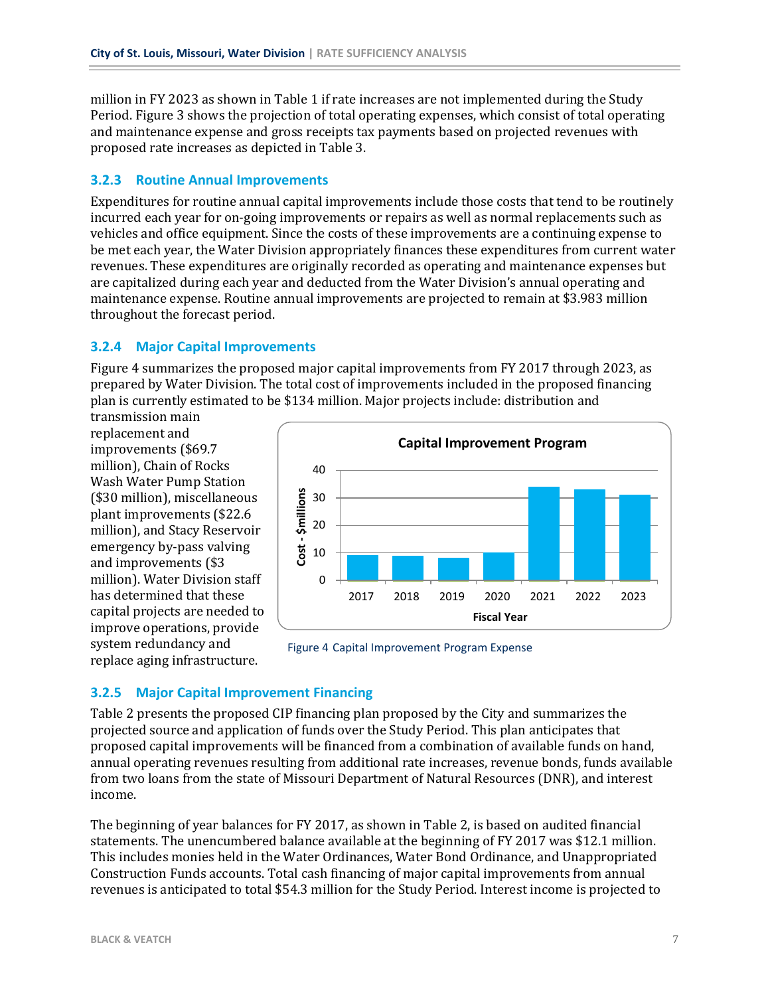million in FY 2023 as shown in Table 1 if rate increases are not implemented during the Study Period. Figure 3 shows the projection of total operating expenses, which consist of total operating and maintenance expense and gross receipts tax payments based on projected revenues with proposed rate increases as depicted in Table 3.

#### **3.2.3 Routine Annual Improvements**

Expenditures for routine annual capital improvements include those costs that tend to be routinely incurred each year for on-going improvements or repairs as well as normal replacements such as vehicles and office equipment. Since the costs of these improvements are a continuing expense to be met each year, the Water Division appropriately finances these expenditures from current water revenues. These expenditures are originally recorded as operating and maintenance expenses but are capitalized during each year and deducted from the Water Division's annual operating and maintenance expense. Routine annual improvements are projected to remain at \$3.983 million throughout the forecast period.

#### **3.2.4 Major Capital Improvements**

Figure 4 summarizes the proposed major capital improvements from FY 2017 through 2023, as prepared by Water Division. The total cost of improvements included in the proposed financing plan is currently estimated to be \$134 million. Major projects include: distribution and

transmission main replacement and improvements (\$69.7 million), Chain of Rocks Wash Water Pump Station (\$30 million), miscellaneous plant improvements (\$22.6 million), and Stacy Reservoir emergency by-pass valving and improvements (\$3 million). Water Division staff has determined that these capital projects are needed to improve operations, provide system redundancy and replace aging infrastructure.



Figure 4 Capital Improvement Program Expense

#### **3.2.5 Major Capital Improvement Financing**

Table 2 presents the proposed CIP financing plan proposed by the City and summarizes the projected source and application of funds over the Study Period. This plan anticipates that proposed capital improvements will be financed from a combination of available funds on hand, annual operating revenues resulting from additional rate increases, revenue bonds, funds available from two loans from the state of Missouri Department of Natural Resources (DNR), and interest income.

The beginning of year balances for FY 2017, as shown in Table 2, is based on audited financial statements. The unencumbered balance available at the beginning of FY 2017 was \$12.1 million. This includes monies held in the Water Ordinances, Water Bond Ordinance, and Unappropriated Construction Funds accounts. Total cash financing of major capital improvements from annual revenues is anticipated to total \$54.3 million for the Study Period. Interest income is projected to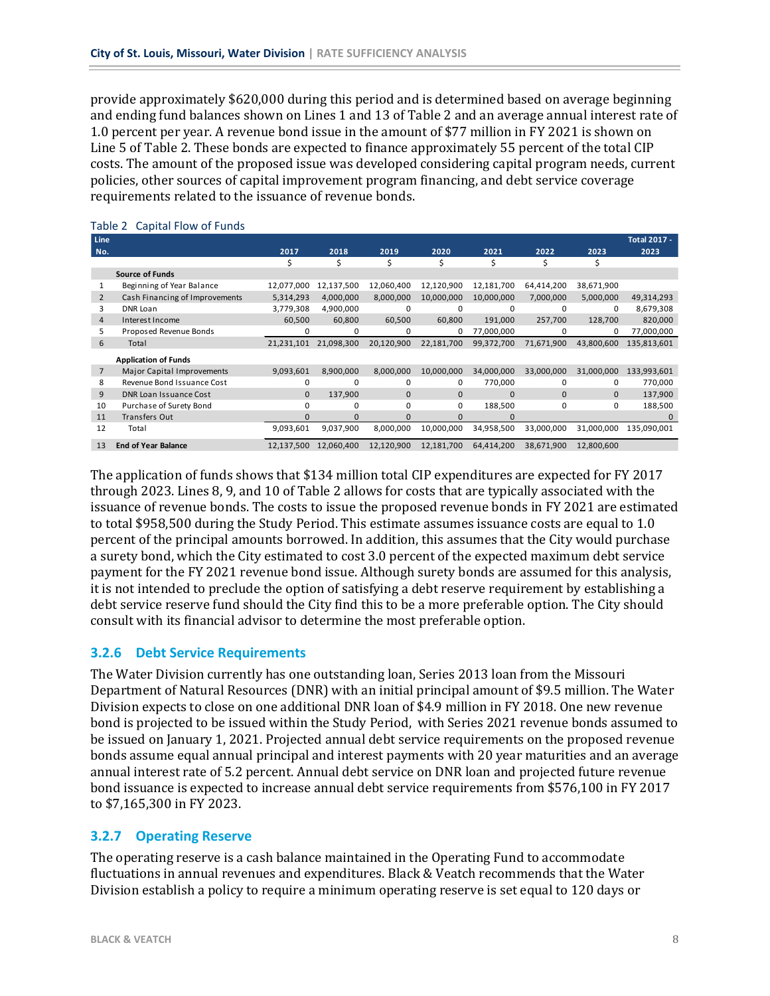provide approximately \$620,000 during this period and is determined based on average beginning and ending fund balances shown on Lines 1 and 13 of Table 2 and an average annual interest rate of 1.0 percent per year. A revenue bond issue in the amount of \$77 million in FY 2021 is shown on Line 5 of Table 2. These bonds are expected to finance approximately 55 percent of the total CIP costs. The amount of the proposed issue was developed considering capital program needs, current policies, other sources of capital improvement program financing, and debt service coverage requirements related to the issuance of revenue bonds.

| <b>Line</b>    |                                |              |            |              |            |              |              |              | <b>Total 2017 -</b> |
|----------------|--------------------------------|--------------|------------|--------------|------------|--------------|--------------|--------------|---------------------|
| No.            |                                | 2017         | 2018       | 2019         | 2020       | 2021         | 2022         | 2023         | 2023                |
|                |                                | Ś            | Ŝ.         | Ś            | Ś          | Ś            | Ś            | Ś            |                     |
|                | <b>Source of Funds</b>         |              |            |              |            |              |              |              |                     |
| 1              | Beginning of Year Balance      | 12,077,000   | 12,137,500 | 12,060,400   | 12,120,900 | 12,181,700   | 64,414,200   | 38,671,900   |                     |
| $\overline{2}$ | Cash Financing of Improvements | 5,314,293    | 4,000,000  | 8,000,000    | 10,000,000 | 10,000,000   | 7,000,000    | 5,000,000    | 49,314,293          |
| 3              | DNR Loan                       | 3,779,308    | 4,900,000  | 0            |            | 0            | 0            | 0            | 8,679,308           |
| $\overline{4}$ | Interest Income                | 60,500       | 60,800     | 60,500       | 60,800     | 191,000      | 257,700      | 128,700      | 820,000             |
| 5              | Proposed Revenue Bonds         | $\Omega$     | 0          | 0            | 0          | 77,000,000   | 0            | 0            | 77,000,000          |
| 6              | Total                          | 21,231,101   | 21,098,300 | 20,120,900   | 22,181,700 | 99,372,700   | 71,671,900   | 43,800,600   | 135,813,601         |
|                | <b>Application of Funds</b>    |              |            |              |            |              |              |              |                     |
| 7              | Major Capital Improvements     | 9,093,601    | 8,900,000  | 8,000,000    | 10,000,000 | 34,000,000   | 33,000,000   | 31,000,000   | 133,993,601         |
| 8              | Revenue Bond Issuance Cost     | 0            | 0          | 0            | 0          | 770,000      | 0            | 0            | 770,000             |
| 9              | DNR Loan Issuance Cost         | $\mathbf{0}$ | 137,900    | $\mathbf{0}$ | 0          | $\mathbf{0}$ | $\mathbf{0}$ | $\mathbf{0}$ | 137,900             |
| 10             | Purchase of Surety Bond        | 0            | 0          | 0            | 0          | 188,500      | 0            | 0            | 188,500             |
| 11             | Transfers Out                  | $\Omega$     | $\Omega$   | $\Omega$     | $\Omega$   | $\Omega$     |              |              | $\Omega$            |
| 12             | Total                          | 9,093,601    | 9,037,900  | 8,000,000    | 10,000,000 | 34,958,500   | 33,000,000   | 31,000,000   | 135,090,001         |
| 13             | <b>End of Year Balance</b>     | 12,137,500   | 12,060,400 | 12,120,900   | 12,181,700 | 64,414,200   | 38,671,900   | 12,800,600   |                     |

#### <span id="page-11-0"></span>Table 2 Capital Flow of Funds

The application of funds shows that \$134 million total CIP expenditures are expected for FY 2017 through 2023. Lines 8, 9, and 10 of Table 2 allows for costs that are typically associated with the issuance of revenue bonds. The costs to issue the proposed revenue bonds in FY 2021 are estimated to total \$958,500 during the Study Period. This estimate assumes issuance costs are equal to 1.0 percent of the principal amounts borrowed. In addition, this assumes that the City would purchase a surety bond, which the City estimated to cost 3.0 percent of the expected maximum debt service payment for the FY 2021 revenue bond issue. Although surety bonds are assumed for this analysis, it is not intended to preclude the option of satisfying a debt reserve requirement by establishing a debt service reserve fund should the City find this to be a more preferable option. The City should consult with its financial advisor to determine the most preferable option.

#### **3.2.6 Debt Service Requirements**

The Water Division currently has one outstanding loan, Series 2013 loan from the Missouri Department of Natural Resources (DNR) with an initial principal amount of \$9.5 million. The Water Division expects to close on one additional DNR loan of \$4.9 million in FY 2018. One new revenue bond is projected to be issued within the Study Period, with Series 2021 revenue bonds assumed to be issued on January 1, 2021. Projected annual debt service requirements on the proposed revenue bonds assume equal annual principal and interest payments with 20 year maturities and an average annual interest rate of 5.2 percent. Annual debt service on DNR loan and projected future revenue bond issuance is expected to increase annual debt service requirements from \$576,100 in FY 2017 to \$7,165,300 in FY 2023.

#### **3.2.7 Operating Reserve**

The operating reserve is a cash balance maintained in the Operating Fund to accommodate fluctuations in annual revenues and expenditures. Black & Veatch recommends that the Water Division establish a policy to require a minimum operating reserve is set equal to 120 days or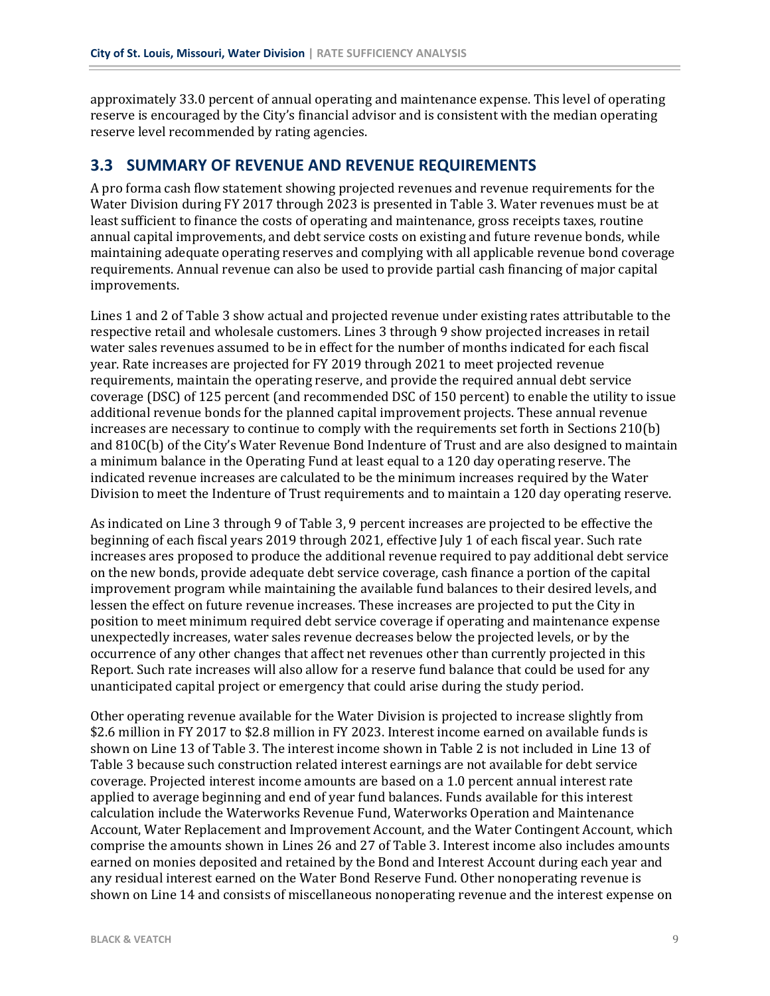approximately 33.0 percent of annual operating and maintenance expense. This level of operating reserve is encouraged by the City's financial advisor and is consistent with the median operating reserve level recommended by rating agencies.

#### **3.3 SUMMARY OF REVENUE AND REVENUE REQUIREMENTS**

A pro forma cash flow statement showing projected revenues and revenue requirements for the Water Division during FY 2017 through 2023 is presented in Table 3. Water revenues must be at least sufficient to finance the costs of operating and maintenance, gross receipts taxes, routine annual capital improvements, and debt service costs on existing and future revenue bonds, while maintaining adequate operating reserves and complying with all applicable revenue bond coverage requirements. Annual revenue can also be used to provide partial cash financing of major capital improvements.

Lines 1 and 2 of Table 3 show actual and projected revenue under existing rates attributable to the respective retail and wholesale customers. Lines 3 through 9 show projected increases in retail water sales revenues assumed to be in effect for the number of months indicated for each fiscal year. Rate increases are projected for FY 2019 through 2021 to meet projected revenue requirements, maintain the operating reserve, and provide the required annual debt service coverage (DSC) of 125 percent (and recommended DSC of 150 percent) to enable the utility to issue additional revenue bonds for the planned capital improvement projects. These annual revenue increases are necessary to continue to comply with the requirements set forth in Sections 210(b) and 810C(b) of the City's Water Revenue Bond Indenture of Trust and are also designed to maintain a minimum balance in the Operating Fund at least equal to a 120 day operating reserve. The indicated revenue increases are calculated to be the minimum increases required by the Water Division to meet the Indenture of Trust requirements and to maintain a 120 day operating reserve.

As indicated on Line 3 through 9 of Table 3, 9 percent increases are projected to be effective the beginning of each fiscal years 2019 through 2021, effective July 1 of each fiscal year. Such rate increases ares proposed to produce the additional revenue required to pay additional debt service on the new bonds, provide adequate debt service coverage, cash finance a portion of the capital improvement program while maintaining the available fund balances to their desired levels, and lessen the effect on future revenue increases. These increases are projected to put the City in position to meet minimum required debt service coverage if operating and maintenance expense unexpectedly increases, water sales revenue decreases below the projected levels, or by the occurrence of any other changes that affect net revenues other than currently projected in this Report. Such rate increases will also allow for a reserve fund balance that could be used for any unanticipated capital project or emergency that could arise during the study period.

Other operating revenue available for the Water Division is projected to increase slightly from \$2.6 million in FY 2017 to \$2.8 million in FY 2023. Interest income earned on available funds is shown on Line 13 of Table 3. The interest income shown in Table 2 is not included in Line 13 of Table 3 because such construction related interest earnings are not available for debt service coverage. Projected interest income amounts are based on a 1.0 percent annual interest rate applied to average beginning and end of year fund balances. Funds available for this interest calculation include the Waterworks Revenue Fund, Waterworks Operation and Maintenance Account, Water Replacement and Improvement Account, and the Water Contingent Account, which comprise the amounts shown in Lines 26 and 27 of Table 3. Interest income also includes amounts earned on monies deposited and retained by the Bond and Interest Account during each year and any residual interest earned on the Water Bond Reserve Fund. Other nonoperating revenue is shown on Line 14 and consists of miscellaneous nonoperating revenue and the interest expense on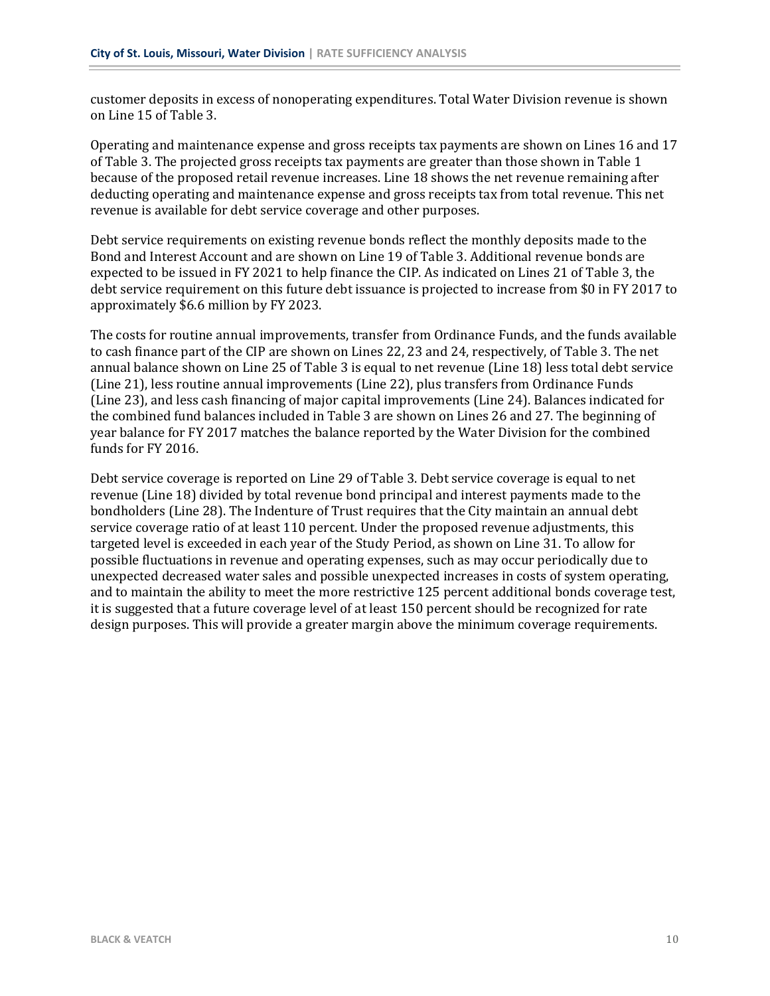customer deposits in excess of nonoperating expenditures. Total Water Division revenue is shown on Line 15 of Table 3.

Operating and maintenance expense and gross receipts tax payments are shown on Lines 16 and 17 of Table 3. The projected gross receipts tax payments are greater than those shown in Table 1 because of the proposed retail revenue increases. Line 18 shows the net revenue remaining after deducting operating and maintenance expense and gross receipts tax from total revenue. This net revenue is available for debt service coverage and other purposes.

Debt service requirements on existing revenue bonds reflect the monthly deposits made to the Bond and Interest Account and are shown on Line 19 of Table 3. Additional revenue bonds are expected to be issued in FY 2021 to help finance the CIP. As indicated on Lines 21 of Table 3, the debt service requirement on this future debt issuance is projected to increase from \$0 in FY 2017 to approximately \$6.6 million by FY 2023.

The costs for routine annual improvements, transfer from Ordinance Funds, and the funds available to cash finance part of the CIP are shown on Lines 22, 23 and 24, respectively, of Table 3. The net annual balance shown on Line 25 of Table 3 is equal to net revenue (Line 18) less total debt service (Line 21), less routine annual improvements (Line 22), plus transfers from Ordinance Funds (Line 23), and less cash financing of major capital improvements (Line 24). Balances indicated for the combined fund balances included in Table 3 are shown on Lines 26 and 27. The beginning of year balance for FY 2017 matches the balance reported by the Water Division for the combined funds for FY 2016.

Debt service coverage is reported on Line 29 of Table 3. Debt service coverage is equal to net revenue (Line 18) divided by total revenue bond principal and interest payments made to the bondholders (Line 28). The Indenture of Trust requires that the City maintain an annual debt service coverage ratio of at least 110 percent. Under the proposed revenue adjustments, this targeted level is exceeded in each year of the Study Period, as shown on Line 31. To allow for possible fluctuations in revenue and operating expenses, such as may occur periodically due to unexpected decreased water sales and possible unexpected increases in costs of system operating, and to maintain the ability to meet the more restrictive 125 percent additional bonds coverage test, it is suggested that a future coverage level of at least 150 percent should be recognized for rate design purposes. This will provide a greater margin above the minimum coverage requirements.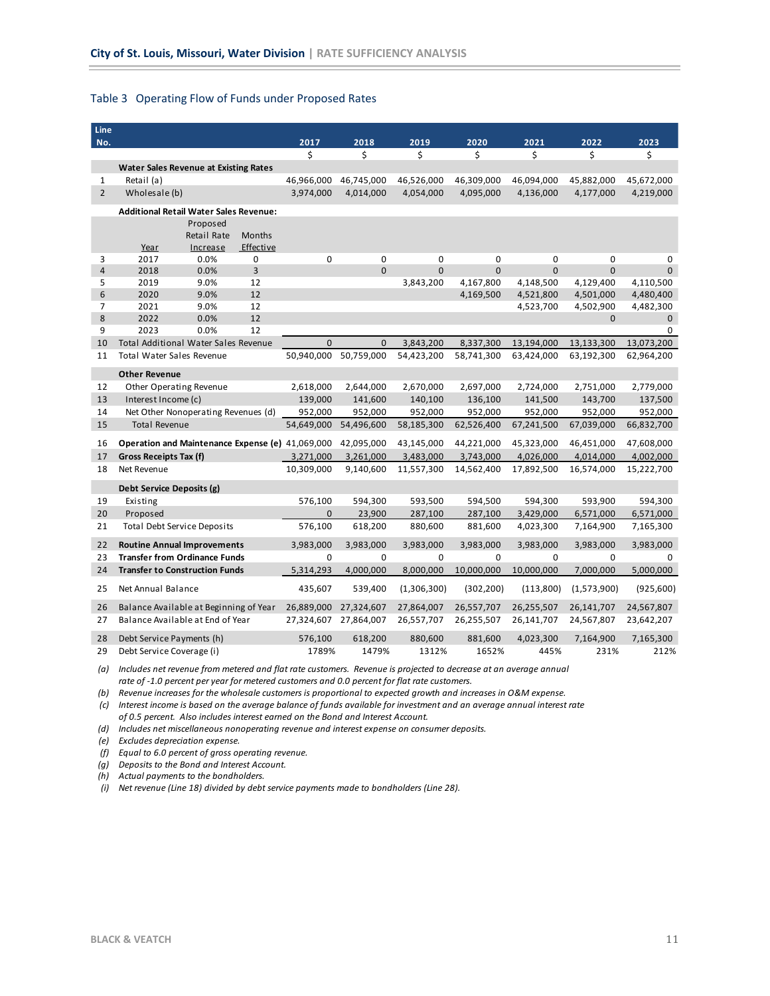#### <span id="page-14-0"></span>Table 3 Operating Flow of Funds under Proposed Rates

| Line<br>No.    |                                                  |             |               | 2017         | 2018         | 2019        | 2020        | 2021       | 2022         | 2023        |
|----------------|--------------------------------------------------|-------------|---------------|--------------|--------------|-------------|-------------|------------|--------------|-------------|
|                |                                                  |             |               | \$           | \$           | \$          | \$          | \$         | \$           | \$          |
|                | <b>Water Sales Revenue at Existing Rates</b>     |             |               |              |              |             |             |            |              |             |
| 1              | Retail (a)                                       |             |               | 46,966,000   | 46,745,000   | 46,526,000  | 46,309,000  | 46,094,000 | 45,882,000   | 45,672,000  |
| $\overline{2}$ | Wholesale (b)                                    |             |               | 3,974,000    | 4,014,000    | 4,054,000   | 4,095,000   | 4,136,000  | 4,177,000    | 4,219,000   |
|                | <b>Additional Retail Water Sales Revenue:</b>    |             |               |              |              |             |             |            |              |             |
|                |                                                  | Proposed    |               |              |              |             |             |            |              |             |
|                |                                                  | Retail Rate | <b>Months</b> |              |              |             |             |            |              |             |
|                | Year                                             | Increase    | Effective     |              |              |             |             |            |              |             |
| 3              | 2017                                             | 0.0%        | 0             | 0            | 0            | 0           | 0           | 0          | 0            | 0           |
| $\overline{4}$ | 2018                                             | 0.0%        | 3             |              | $\Omega$     | $\Omega$    | $\Omega$    | $\Omega$   | $\Omega$     | $\Omega$    |
| 5              | 2019                                             | 9.0%        | 12            |              |              | 3,843,200   | 4,167,800   | 4,148,500  | 4,129,400    | 4,110,500   |
| 6              | 2020                                             | 9.0%        | 12            |              |              |             | 4,169,500   | 4,521,800  | 4,501,000    | 4,480,400   |
| 7              | 2021                                             | 9.0%        | 12            |              |              |             |             | 4,523,700  | 4,502,900    | 4,482,300   |
| 8              | 2022                                             | 0.0%        | 12            |              |              |             |             |            | $\mathbf{0}$ | $\mathbf 0$ |
| 9              | 2023                                             | 0.0%        | 12            |              |              |             |             |            |              | 0           |
| 10             | Total Additional Water Sales Revenue             |             |               | $\mathbf{0}$ | $\mathbf{0}$ | 3,843,200   | 8,337,300   | 13,194,000 | 13,133,300   | 13,073,200  |
| 11             | Total Water Sales Revenue                        |             |               | 50,940,000   | 50,759,000   | 54,423,200  | 58,741,300  | 63,424,000 | 63,192,300   | 62,964,200  |
|                | <b>Other Revenue</b>                             |             |               |              |              |             |             |            |              |             |
| 12             | Other Operating Revenue                          |             |               | 2,618,000    | 2,644,000    | 2,670,000   | 2,697,000   | 2,724,000  | 2,751,000    | 2,779,000   |
| 13             | Interest Income (c)                              |             |               | 139,000      | 141,600      | 140,100     | 136,100     | 141,500    | 143,700      | 137,500     |
| 14             | Net Other Nonoperating Revenues (d)              |             |               | 952,000      | 952,000      | 952,000     | 952,000     | 952,000    | 952,000      | 952,000     |
| 15             | <b>Total Revenue</b>                             |             |               | 54,649,000   | 54,496,600   | 58,185,300  | 62,526,400  | 67,241,500 | 67,039,000   | 66,832,700  |
| 16             | Operation and Maintenance Expense (e) 41,069,000 |             |               |              | 42,095,000   | 43,145,000  | 44,221,000  | 45,323,000 | 46,451,000   | 47,608,000  |
| 17             | Gross Receipts Tax (f)                           |             |               | 3,271,000    | 3,261,000    | 3,483,000   | 3,743,000   | 4,026,000  | 4,014,000    | 4,002,000   |
| 18             | Net Revenue                                      |             |               | 10,309,000   | 9,140,600    | 11,557,300  | 14,562,400  | 17,892,500 | 16,574,000   | 15,222,700  |
|                |                                                  |             |               |              |              |             |             |            |              |             |
|                | Debt Service Deposits (g)                        |             |               |              |              |             |             |            |              |             |
| 19             | Existing                                         |             |               | 576,100      | 594,300      | 593,500     | 594,500     | 594,300    | 593,900      | 594,300     |
| 20             | Proposed                                         |             |               | $\mathbf{0}$ | 23,900       | 287,100     | 287,100     | 3,429,000  | 6,571,000    | 6,571,000   |
| 21             | <b>Total Debt Service Deposits</b>               |             |               | 576,100      | 618,200      | 880,600     | 881,600     | 4,023,300  | 7,164,900    | 7,165,300   |
| 22             | <b>Routine Annual Improvements</b>               |             |               | 3,983,000    | 3,983,000    | 3,983,000   | 3,983,000   | 3,983,000  | 3,983,000    | 3,983,000   |
| 23             | <b>Transfer from Ordinance Funds</b>             |             |               | 0            | 0            | 0           | $\mathbf 0$ | 0          | 0            | $\Omega$    |
| 24             | <b>Transfer to Construction Funds</b>            |             |               | 5,314,293    | 4,000,000    | 8,000,000   | 10,000,000  | 10,000,000 | 7,000,000    | 5,000,000   |
| 25             | Net Annual Balance                               |             |               | 435,607      | 539,400      | (1,306,300) | (302, 200)  | (113,800)  | (1,573,900)  | (925,600)   |
| 26             | Balance Available at Beginning of Year           |             |               | 26,889,000   | 27,324,607   | 27,864,007  | 26,557,707  | 26,255,507 | 26,141,707   | 24,567,807  |
| 27             | Balance Available at End of Year                 |             |               | 27,324,607   | 27,864,007   | 26,557,707  | 26,255,507  | 26,141,707 | 24,567,807   | 23,642,207  |
| 28             | Debt Service Payments (h)                        |             |               | 576,100      | 618,200      | 880,600     | 881,600     | 4,023,300  | 7,164,900    | 7,165,300   |
| 29             | Debt Service Coverage (i)                        |             |               | 1789%        | 1479%        | 1312%       | 1652%       | 445%       | 231%         | 212%        |

(a) Includes net revenue from metered and flat rate customers. Revenue is projected to decrease at an average annual *rate of -1.0 percent per year for metered customers and 0.0 percent for flat rate customers.*

(b) Revenue increases for the wholesale customers is proportional to expected growth and increases in O&M expense.

(c) Interest income is based on the average balance of funds available for investment and an average annual interest rate *of 0.5 percent. Also includes interest earned on the Bond and Interest Account.*

*(d) Includes net miscellaneous nonoperating revenue and interest expense on consumer deposits.*

*(e) Excludes depreciation expense.*

*(f) Equal to 6.0 percent of gross operating revenue.*

*(g) Deposits to the Bond and Interest Account.*

*(h) Actual payments to the bondholders.*

*(i) Net revenue (Line 18) divided by debt service payments made to bondholders (Line 28).*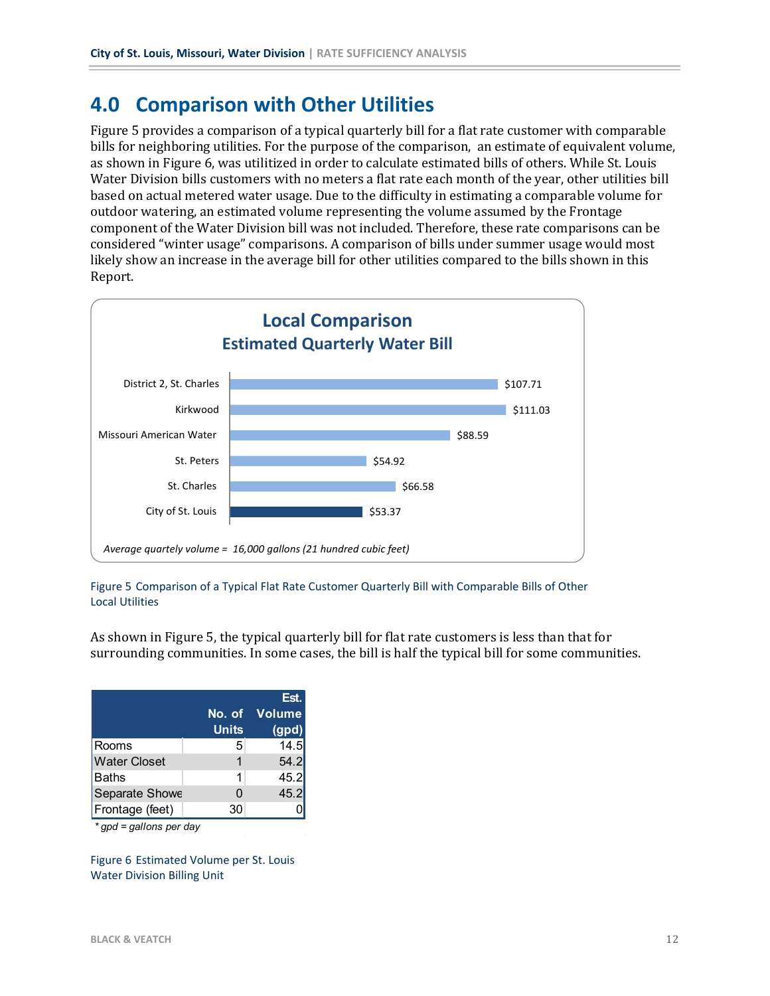# **4.0 Comparison with Other Utilities**

Figure 5 provides a comparison of a typical quarterly bill for a flat rate customer with comparable bills for neighboring utilities. For the purpose of the comparison, an estimate of equivalent volume, as shown in Figure 6, was utilitized in order to calculate estimated bills of others. While St. Louis Water Division bills customers with no meters a flat rate each month of the year, other utilities bill based on actual metered water usage. Due to the difficulty in estimating a comparable volume for outdoor watering, an estimated volume representing the volume assumed by the Frontage component of the Water Division bill was not included. Therefore, these rate comparisons can be considered "winter usage" comparisons. A comparison of bills under summer usage would most likely show an increase in the average bill for other utilities compared to the bills shown in this Report.



Figure 5 Comparison of a Typical Flat Rate Customer Quarterly Bill with Comparable Bills of Other Local Utilities

As shown in Figure 5, the typical quarterly bill for flat rate customers is less than that for surrounding communities. In some cases, the bill is half the typical bill for some communities.

|                     | <b>Units</b> | Est.<br>No. of Volume<br>(gpd) |
|---------------------|--------------|--------------------------------|
| Rooms               | 5            | 14.5                           |
| <b>Water Closet</b> |              | 54.2                           |
| Baths               | 1            | 45.2                           |
| Separate Showe      | 0            | 45.2                           |
| Frontage (feet)     | 30           |                                |

*\* gpd = gallons per day*

Figure 6 Estimated Volume per St. Louis Water Division Billing Unit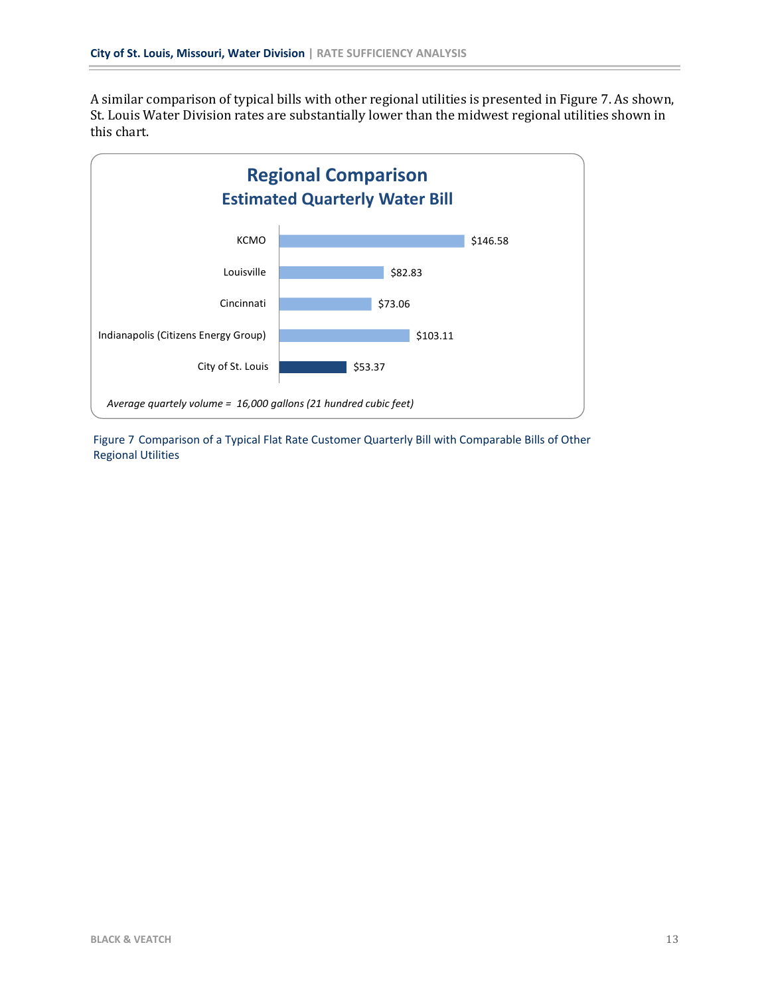A similar comparison of typical bills with other regional utilities is presented in Figure 7. As shown, St. Louis Water Division rates are substantially lower than the midwest regional utilities shown in this chart.



Figure 7 Comparison of a Typical Flat Rate Customer Quarterly Bill with Comparable Bills of Other Regional Utilities